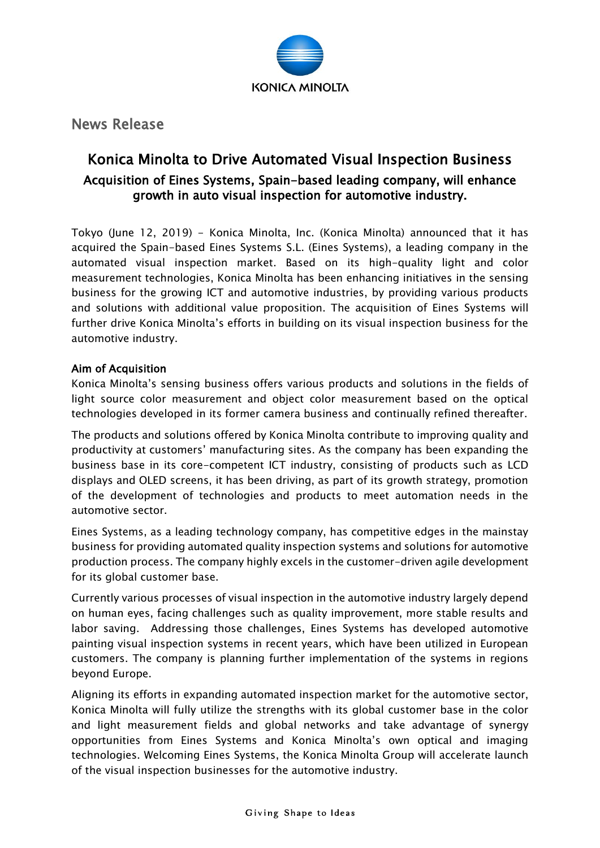

News Release

## Konica Minolta to Drive Automated Visual Inspection Business Acquisition of Eines Systems, Spain-based leading company, will enhance growth in auto visual inspection for automotive industry.

Tokyo (June 12, 2019) - Konica Minolta, Inc. (Konica Minolta) announced that it has acquired the Spain-based Eines Systems S.L. (Eines Systems), a leading company in the automated visual inspection market. Based on its high-quality light and color measurement technologies, Konica Minolta has been enhancing initiatives in the sensing business for the growing ICT and automotive industries, by providing various products and solutions with additional value proposition. The acquisition of Eines Systems will further drive Konica Minolta's efforts in building on its visual inspection business for the automotive industry.

## Aim of Acquisition

Konica Minolta's sensing business offers various products and solutions in the fields of light source color measurement and object color measurement based on the optical technologies developed in its former camera business and continually refined thereafter.

The products and solutions offered by Konica Minolta contribute to improving quality and productivity at customers' manufacturing sites. As the company has been expanding the business base in its core-competent ICT industry, consisting of products such as LCD displays and OLED screens, it has been driving, as part of its growth strategy, promotion of the development of technologies and products to meet automation needs in the automotive sector.

Eines Systems, as a leading technology company, has competitive edges in the mainstay business for providing automated quality inspection systems and solutions for automotive production process. The company highly excels in the customer-driven agile development for its global customer base.

Currently various processes of visual inspection in the automotive industry largely depend on human eyes, facing challenges such as quality improvement, more stable results and labor saving. Addressing those challenges, Eines Systems has developed automotive painting visual inspection systems in recent years, which have been utilized in European customers. The company is planning further implementation of the systems in regions beyond Europe.

Aligning its efforts in expanding automated inspection market for the automotive sector, Konica Minolta will fully utilize the strengths with its global customer base in the color and light measurement fields and global networks and take advantage of synergy opportunities from Eines Systems and Konica Minolta's own optical and imaging technologies. Welcoming Eines Systems, the Konica Minolta Group will accelerate launch of the visual inspection businesses for the automotive industry.